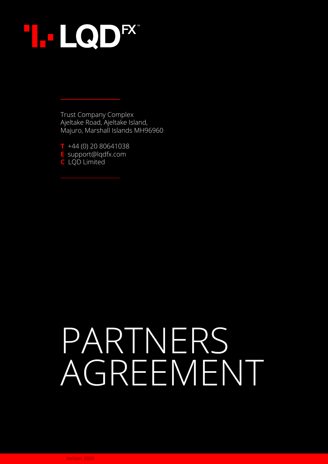

Trust Company Complex Ajeltake Road, Ajeltake Island, Majuro, Marshall Islands MH96960

**T** +44 (0) 20 80641038 **E** support@lqdfx.com **C** LQD Limited

# PARTNERS AGREEMENT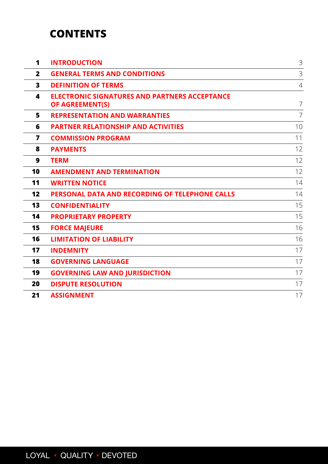## **CONTENTS**

| 1                       | <b>INTRODUCTION</b>                                                            | 3              |
|-------------------------|--------------------------------------------------------------------------------|----------------|
| $\overline{2}$          | <b>GENERAL TERMS AND CONDITIONS</b>                                            | 3              |
| $\mathbf{3}$            | <b>DEFINITION OF TERMS</b>                                                     | $\overline{4}$ |
| 4                       | <b>ELECTRONIC SIGNATURES AND PARTNERS ACCEPTANCE</b><br><b>OF AGREEMENT(S)</b> | $\overline{7}$ |
| 5                       | <b>REPRESENTATION AND WARRANTIES</b>                                           | $\overline{7}$ |
| 6                       | <b>PARTNER RELATIONSHIP AND ACTIVITIES</b>                                     | 10             |
| $\overline{\mathbf{z}}$ | <b>COMMISSION PROGRAM</b>                                                      | 11             |
| 8                       | <b>PAYMENTS</b>                                                                | 12             |
| $\boldsymbol{9}$        | <b>TERM</b>                                                                    | 12             |
| 10                      | <b>AMENDMENT AND TERMINATION</b>                                               | 12             |
| 11                      | <b>WRITTEN NOTICE</b>                                                          | 14             |
| 12                      | PERSONAL DATA AND RECORDING OF TELEPHONE CALLS                                 | 14             |
| 13                      | <b>CONFIDENTIALITY</b>                                                         | 15             |
| 14                      | <b>PROPRIETARY PROPERTY</b>                                                    | 15             |
| 15                      | <b>FORCE MAJEURE</b>                                                           | 16             |
| 16                      | <b>LIMITATION OF LIABILITY</b>                                                 | 16             |
| 17                      | <b>INDEMNITY</b>                                                               | 17             |
| 18                      | <b>GOVERNING LANGUAGE</b>                                                      | 17             |
| 19                      | <b>GOVERNING LAW AND JURISDICTION</b>                                          | 17             |
| 20                      | <b>DISPUTE RESOLUTION</b>                                                      | 17             |
| 21                      | <b>ASSIGNMENT</b>                                                              | 17             |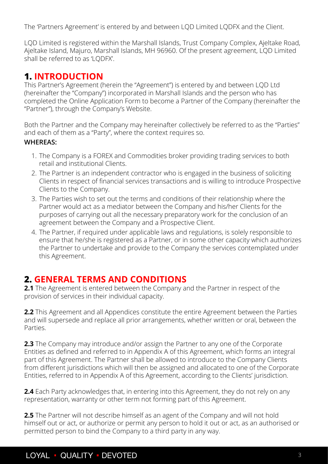<span id="page-2-0"></span>The 'Partners Agreement' is entered by and between LQD Limited LQDFX and the Client.

LQD Limited is registered within the Marshall Islands, Trust Company Complex, Ajeltake Road, Ajeltake Island, Majuro, Marshall Islands, MH 96960. Of the present agreement, LQD Limited shall be referred to as 'LQDFX'.

## **1. INTRODUCTION**

This Partner's Agreement (herein the "Agreement") is entered by and between LQD Ltd (hereinafter the "Company") incorporated in Marshall Islands and the person who has completed the Online Application Form to become a Partner of the Company (hereinafter the "Partner"), through the Company's Website.

Both the Partner and the Company may hereinafter collectively be referred to as the "Parties" and each of them as a "Party", where the context requires so.

#### **WHEREAS:**

- 1. The Company is a FOREX and Commodities broker providing trading services to both retail and institutional Clients.
- 2. The Partner is an independent contractor who is engaged in the business of soliciting Clients in respect of financial services transactions and is willing to introduce Prospective Clients to the Company.
- 3. The Parties wish to set out the terms and conditions of their relationship where the Partner would act as a mediator between the Company and his/her Clients for the purposes of carrying out all the necessary preparatory work for the conclusion of an agreement between the Company and a Prospective Client.
- 4. The Partner, if required under applicable laws and regulations, is solely responsible to ensure that he/she is registered as a Partner, or in some other capacity which authorizes the Partner to undertake and provide to the Company the services contemplated under this Agreement.

## **2. GENERAL TERMS AND CONDITIONS**

**2.1** The Agreement is entered between the Company and the Partner in respect of the provision of services in their individual capacity.

**2.2** This Agreement and all Appendices constitute the entire Agreement between the Parties and will supersede and replace all prior arrangements, whether written or oral, between the Parties.

**2.3** The Company may introduce and/or assign the Partner to any one of the Corporate Entities as defined and referred to in Appendix A of this Agreement, which forms an integral part of this Agreement. The Partner shall be allowed to introduce to the Company Clients from different jurisdictions which will then be assigned and allocated to one of the Corporate Entities, referred to in Appendix A of this Agreement, according to the Clients' jurisdiction.

**2.4** Each Party acknowledges that, in entering into this Agreement, they do not rely on any representation, warranty or other term not forming part of this Agreement.

**2.5** The Partner will not describe himself as an agent of the Company and will not hold himself out or act, or authorize or permit any person to hold it out or act, as an authorised or permitted person to bind the Company to a third party in any way.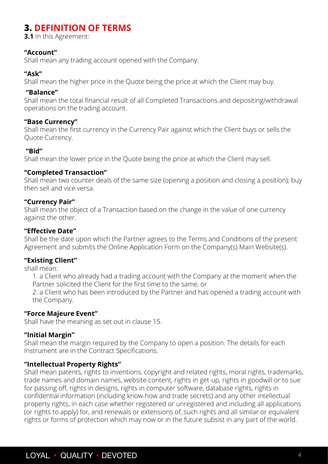## <span id="page-3-0"></span>**3. DEFINITION OF TERMS**

**3.1** In this Agreement:

#### **"Account"**

Shall mean any trading account opened with the Company.

#### **"Ask"**

Shall mean the higher price in the Quote being the price at which the Client may buy.

#### **"Balance"**

Shall mean the total financial result of all Completed Transactions and depositing/withdrawal operations on the trading account.

#### **"Base Currency"**

Shall mean the first currency in the Currency Pair against which the Client buys or sells the Quote Currency.

#### **"Bid"**

Shall mean the lower price in the Quote being the price at which the Client may sell.

#### **"Completed Transaction"**

Shall mean two counter deals of the same size (opening a position and closing a position); buy then sell and vice versa.

#### **"Currency Pair"**

Shall mean the object of a Transaction based on the change in the value of one currency against the other.

#### **"Effective Date"**

Shall be the date upon which the Partner agrees to the Terms and Conditions of the present Agreement and submits the Online Application Form on the Company(s) Main Website(s).

#### **"Existing Client"**

shall mean:

1. a Client who already had a trading account with the Company at the moment when the Partner solicited the Client for the first time to the same, or

2. a Client who has been introduced by the Partner and has opened a trading account with the Company.

#### **"Force Majeure Event"**

Shall have the meaning as set out in clause 15.

#### **"Initial Margin"**

Shall mean the margin required by the Company to open a position. The details for each Instrument are in the Contract Specifications.

#### **"Intellectual Property Rights"**

Shall mean patents, rights to inventions, copyright and related rights, moral rights, trademarks, trade names and domain names, website content, rights in get-up, rights in goodwill or to sue for passing off, rights in designs, rights in computer software, database rights, rights in confidential information (including know-how and trade secrets) and any other intellectual property rights, in each case whether registered or unregistered and including all applications (or rights to apply) for, and renewals or extensions of, such rights and all similar or equivalent rights or forms of protection which may now or in the future subsist in any part of the world.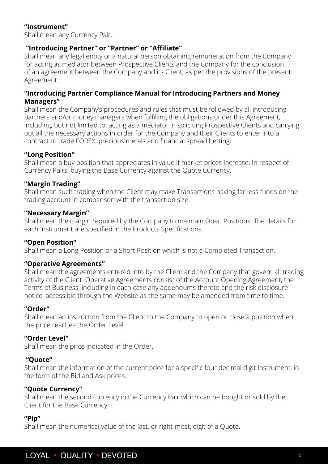#### **"Instrument"**

Shall mean any Currency Pair.

#### **"Introducing Partner" or "Partner" or "Affiliate"**

Shall mean any legal entity or a natural person obtaining remuneration from the Company for acting as mediator between Prospective Clients and the Company for the conclusion of an agreement between the Company and its Client, as per the provisions of the present Agreement.

#### **"Introducing Partner Compliance Manual for Introducing Partners and Money Managers"**

Shall mean the Company's procedures and rules that must be followed by all introducing partners and/or money managers when fulfilling the obligations under this Agreement, including, but not limited to, acting as a mediator in soliciting Prospective Clients and carrying out all the necessary actions in order for the Company and their Clients to enter into a contract to trade FOREX, precious metals and financial spread betting.

#### **"Long Position"**

Shall mean a buy position that appreciates in value if market prices increase. In respect of Currency Pairs: buying the Base Currency against the Quote Currency.

#### **"Margin Trading"**

Shall mean such trading when the Client may make Transactions having far less funds on the trading account in comparison with the transaction size.

#### **"Necessary Margin"**

Shall mean the margin required by the Company to maintain Open Positions. The details for each Instrument are specified in the Products Specifications.

#### **"Open Position"**

Shall mean a Long Position or a Short Position which is not a Completed Transaction.

#### **"Operative Agreements"**

Shall mean the agreements entered into by the Client and the Company that govern all trading activity of the Client. Operative Agreements consist of the Account Opening Agreement, the Terms of Business, including in each case any addendums thereto and the risk disclosure notice, accessible through the Website as the same may be amended from time to time.

#### **"Order"**

Shall mean an instruction from the Client to the Company to open or close a position when the price reaches the Order Level.

#### **"Order Level"**

Shall mean the price indicated in the Order.

#### **"Quote"**

Shall mean the information of the current price for a specific four decimal digit Instrument, in the form of the Bid and Ask prices.

#### **"Quote Currency"**

Shall mean the second currency in the Currency Pair which can be bought or sold by the Client for the Base Currency.

#### **"Pip"**

Shall mean the numerical value of the last, or right-most, digit of a Quote.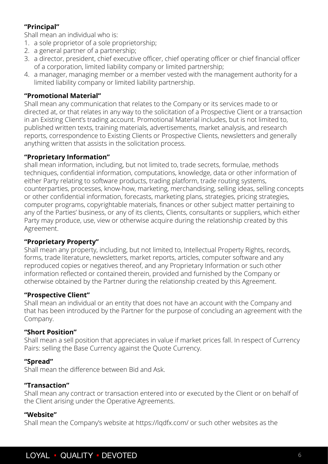#### **"Principal"**

Shall mean an individual who is:

- 1. a sole proprietor of a sole proprietorship;
- 2. a general partner of a partnership;
- 3. a director, president, chief executive officer, chief operating officer or chief financial officer of a corporation, limited liability company or limited partnership;
- 4. a manager, managing member or a member vested with the management authority for a limited liability company or limited liability partnership.

#### **"Promotional Material"**

Shall mean any communication that relates to the Company or its services made to or directed at, or that relates in any way to the solicitation of a Prospective Client or a transaction in an Existing Client's trading account. Promotional Material includes, but is not limited to, published written texts, training materials, advertisements, market analysis, and research reports, correspondence to Existing Clients or Prospective Clients, newsletters and generally anything written that assists in the solicitation process.

#### **"Proprietary Information"**

shall mean information, including, but not limited to, trade secrets, formulae, methods techniques, confidential information, computations, knowledge, data or other information of either Party relating to software products, trading platform, trade routing systems, counterparties, processes, know-how, marketing, merchandising, selling ideas, selling concepts or other confidential information, forecasts, marketing plans, strategies, pricing strategies, computer programs, copyrightable materials, finances or other subject matter pertaining to any of the Parties' business, or any of its clients, Clients, consultants or suppliers, which either Party may produce, use, view or otherwise acquire during the relationship created by this Agreement.

#### **"Proprietary Property"**

Shall mean any property, including, but not limited to, Intellectual Property Rights, records, forms, trade literature, newsletters, market reports, articles, computer software and any reproduced copies or negatives thereof, and any Proprietary Information or such other information reflected or contained therein, provided and furnished by the Company or otherwise obtained by the Partner during the relationship created by this Agreement.

#### **"Prospective Client"**

Shall mean an individual or an entity that does not have an account with the Company and that has been introduced by the Partner for the purpose of concluding an agreement with the Company.

#### **"Short Position"**

Shall mean a sell position that appreciates in value if market prices fall. In respect of Currency Pairs: selling the Base Currency against the Quote Currency.

#### **"Spread"**

Shall mean the difference between Bid and Ask.

#### **"Transaction"**

Shall mean any contract or transaction entered into or executed by the Client or on behalf of the Client arising under the Operative Agreements.

#### **"Website"**

Shall mean the Company's website at https://lqdfx.com/ or such other websites as the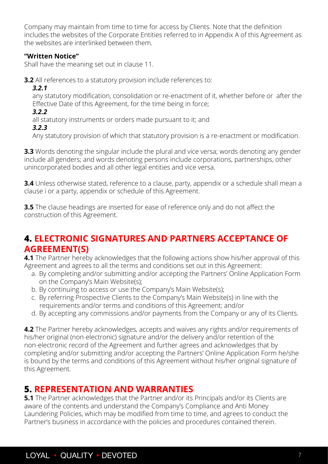<span id="page-6-0"></span>Company may maintain from time to time for access by Clients. Note that the definition includes the websites of the Corporate Entities referred to in Appendix A of this Agreement as the websites are interlinked between them.

#### **"Written Notice"**

Shall have the meaning set out in clause 11.

**3.2** All references to a statutory provision include references to:

*3.2.1*

any statutory modification, consolidation or re-enactment of it, whether before or after the Effective Date of this Agreement, for the time being in force;

*3.2.2*

all statutory instruments or orders made pursuant to it; and

*3.2.3*

Any statutory provision of which that statutory provision is a re-enactment or modification.

**3.3** Words denoting the singular include the plural and vice versa; words denoting any gender include all genders; and words denoting persons include corporations, partnerships, other unincorporated bodies and all other legal entities and vice versa.

**3.4** Unless otherwise stated, reference to a clause, party, appendix or a schedule shall mean a clause i or a party, appendix or schedule of this Agreement.

**3.5** The clause headings are inserted for ease of reference only and do not affect the construction of this Agreement.

## **4. ELECTRONIC SIGNATURES AND PARTNERS ACCEPTANCE OF AGREEMENT(S)**

**4.1** The Partner hereby acknowledges that the following actions show his/her approval of this Agreement and agrees to all the terms and conditions set out in this Agreement:

- a. By completing and/or submitting and/or accepting the Partners' Online Application Form on the Company's Main Website(s);
- b. By continuing to access or use the Company's Main Website(s);
- c. By referring Prospective Clients to the Company's Main Website(s) in line with the requirements and/or terms and conditions of this Agreement; and/or
- d. By accepting any commissions and/or payments from the Company or any of its Clients.

**4.2** The Partner hereby acknowledges, accepts and waives any rights and/or requirements of his/her original (non-electronic) signature and/or the delivery and/or retention of the non-electronic record of the Agreement and further agrees and acknowledges that by completing and/or submitting and/or accepting the Partners' Online Application Form he/she is bound by the terms and conditions of this Agreement without his/her original signature of this Agreement.

## **5. REPRESENTATION AND WARRANTIES**

**5.1** The Partner acknowledges that the Partner and/or its Principals and/or its Clients are aware of the contents and understand the Company's Compliance and Anti Money Laundering Policies, which may be modified from time to time, and agrees to conduct the Partner's business in accordance with the policies and procedures contained therein.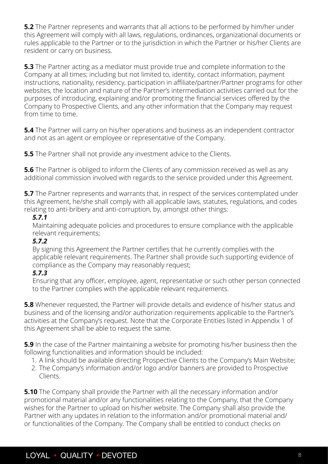<span id="page-7-0"></span>**5.2** The Partner represents and warrants that all actions to be performed by him/her under this Agreement will comply with all laws, regulations, ordinances, organizational documents or rules applicable to the Partner or to the jurisdiction in which the Partner or his/her Clients are resident or carry on business.

**5.3** The Partner acting as a mediator must provide true and complete information to the Company at all times; including but not limited to, identity, contact information, payment instructions, nationality, residency, participation in affiliate/partner/Partner programs for other websites, the location and nature of the Partner's intermediation activities carried out for the purposes of introducing, explaining and/or promoting the financial services offered by the Company to Prospective Clients, and any other information that the Company may request from time to time.

**5.4** The Partner will carry on his/her operations and business as an independent contractor and not as an agent or employee or representative of the Company.

**5.5** The Partner shall not provide any investment advice to the Clients.

**5.6** The Partner is obliged to inform the Clients of any commission received as well as any additional commission involved with regards to the service provided under this Agreement.

**5.7** The Partner represents and warrants that, in respect of the services contemplated under this Agreement, he/she shall comply with all applicable laws, statutes, regulations, and codes relating to anti-bribery and anti-corruption, by, amongst other things:

#### *5.7.1*

Maintaining adequate policies and procedures to ensure compliance with the applicable relevant requirements;

#### *5.7.2*

By signing this Agreement the Partner certifies that he currently complies with the applicable relevant requirements. The Partner shall provide such supporting evidence of compliance as the Company may reasonably request;

#### *5.7.3*

Ensuring that any officer, employee, agent, representative or such other person connected to the Partner complies with the applicable relevant requirements.

**5.8** Whenever requested, the Partner will provide details and evidence of his/her status and business and of the licensing and/or authorization requirements applicable to the Partner's activities at the Company's request. Note that the Corporate Entities listed in Appendix 1 of this Agreement shall be able to request the same.

**5.9** In the case of the Partner maintaining a website for promoting his/her business then the following functionalities and information should be included:

- 1. A link should be available directing Prospective Clients to the Company's Main Website;
- 2. The Company's information and/or logo and/or banners are provided to Prospective Clients.

**5.10** The Company shall provide the Partner with all the necessary information and/or promotional material and/or any functionalities relating to the Company, that the Company wishes for the Partner to upload on his/her website. The Company shall also provide the Partner with any updates in relation to the information and/or promotional material and/ or functionalities of the Company. The Company shall be entitled to conduct checks on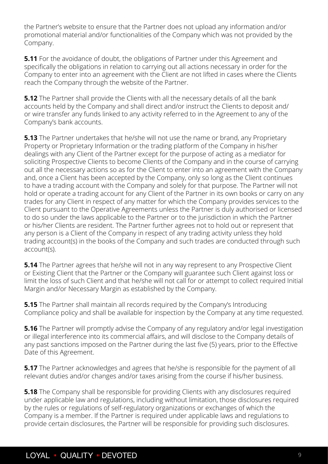the Partner's website to ensure that the Partner does not upload any information and/or promotional material and/or functionalities of the Company which was not provided by the Company.

**5.11** For the avoidance of doubt, the obligations of Partner under this Agreement and specifically the obligations in relation to carrying out all actions necessary in order for the Company to enter into an agreement with the Client are not lifted in cases where the Clients reach the Company through the website of the Partner.

**5.12** The Partner shall provide the Clients with all the necessary details of all the bank accounts held by the Company and shall direct and/or instruct the Clients to deposit and/ or wire transfer any funds linked to any activity referred to in the Agreement to any of the Company's bank accounts.

**5.13** The Partner undertakes that he/she will not use the name or brand, any Proprietary Property or Proprietary Information or the trading platform of the Company in his/her dealings with any Client of the Partner except for the purpose of acting as a mediator for soliciting Prospective Clients to become Clients of the Company and in the course of carrying out all the necessary actions so as for the Client to enter into an agreement with the Company and, once a Client has been accepted by the Company, only so long as the Client continues to have a trading account with the Company and solely for that purpose. The Partner will not hold or operate a trading account for any Client of the Partner in its own books or carry on any trades for any Client in respect of any matter for which the Company provides services to the Client pursuant to the Operative Agreements unless the Partner is duly authorised or licensed to do so under the laws applicable to the Partner or to the jurisdiction in which the Partner or his/her Clients are resident. The Partner further agrees not to hold out or represent that any person is a Client of the Company in respect of any trading activity unless they hold trading account(s) in the books of the Company and such trades are conducted through such account(s).

**5.14** The Partner agrees that he/she will not in any way represent to any Prospective Client or Existing Client that the Partner or the Company will guarantee such Client against loss or limit the loss of such Client and that he/she will not call for or attempt to collect required Initial Margin and/or Necessary Margin as established by the Company.

**5.15** The Partner shall maintain all records required by the Company's Introducing Compliance policy and shall be available for inspection by the Company at any time requested.

**5.16** The Partner will promptly advise the Company of any regulatory and/or legal investigation or illegal interference into its commercial affairs, and will disclose to the Company details of any past sanctions imposed on the Partner during the last five (5) years, prior to the Effective Date of this Agreement.

**5.17** The Partner acknowledges and agrees that he/she is responsible for the payment of all relevant duties and/or changes and/or taxes arising from the course if his/her business.

**5.18** The Company shall be responsible for providing Clients with any disclosures required under applicable law and regulations, including without limitation, those disclosures required by the rules or regulations of self-regulatory organizations or exchanges of which the Company is a member. If the Partner is required under applicable laws and regulations to provide certain disclosures, the Partner will be responsible for providing such disclosures.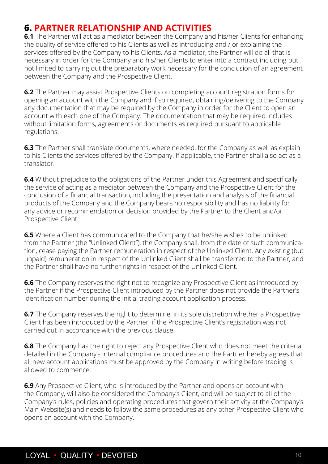## <span id="page-9-0"></span>**6. PARTNER RELATIONSHIP AND ACTIVITIES**

**6.1** The Partner will act as a mediator between the Company and his/her Clients for enhancing the quality of service offered to his Clients as well as introducing and / or explaining the services offered by the Company to his Clients. As a mediator, the Partner will do all that is necessary in order for the Company and his/her Clients to enter into a contract including but not limited to carrying out the preparatory work necessary for the conclusion of an agreement between the Company and the Prospective Client.

**6.2** The Partner may assist Prospective Clients on completing account registration forms for opening an account with the Company and if so required, obtaining/delivering to the Company any documentation that may be required by the Company in order for the Client to open an account with each one of the Company. The documentation that may be required includes without limitation forms, agreements or documents as required pursuant to applicable regulations.

**6.3** The Partner shall translate documents, where needed, for the Company as well as explain to his Clients the services offered by the Company. If applicable, the Partner shall also act as a translator.

**6.4** Without prejudice to the obligations of the Partner under this Agreement and specifically the service of acting as a mediator between the Company and the Prospective Client for the conclusion of a financial transaction, including the presentation and analysis of the financial products of the Company and the Company bears no responsibility and has no liability for any advice or recommendation or decision provided by the Partner to the Client and/or Prospective Client.

**6.5** Where a Client has communicated to the Company that he/she wishes to be unlinked from the Partner (the "Unlinked Client"), the Company shall, from the date of such communication, cease paying the Partner remuneration in respect of the Unlinked Client. Any existing (but unpaid) remuneration in respect of the Unlinked Client shall be transferred to the Partner, and the Partner shall have no further rights in respect of the Unlinked Client.

**6.6** The Company reserves the right not to recognize any Prospective Client as introduced by the Partner if the Prospective Client introduced by the Partner does not provide the Partner's identification number during the initial trading account application process.

**6.7** The Company reserves the right to determine, in its sole discretion whether a Prospective Client has been introduced by the Partner, if the Prospective Client's registration was not carried out in accordance with the previous clause.

**6.8** The Company has the right to reject any Prospective Client who does not meet the criteria detailed in the Company's internal compliance procedures and the Partner hereby agrees that all new account applications must be approved by the Company in writing before trading is allowed to commence.

**6.9** Any Prospective Client, who is introduced by the Partner and opens an account with the Company, will also be considered the Company's Client, and will be subject to all of the Company's rules, policies and operating procedures that govern their activity at the Company's Main Website(s) and needs to follow the same procedures as any other Prospective Client who opens an account with the Company.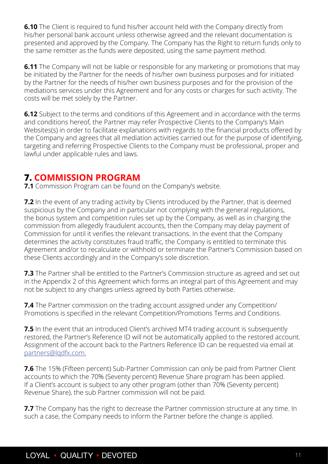<span id="page-10-0"></span>**6.10** The Client is required to fund his/her account held with the Company directly from his/her personal bank account unless otherwise agreed and the relevant documentation is presented and approved by the Company. The Company has the Right to return funds only to the same remitter as the funds were deposited, using the same payment method.

**6.11** The Company will not be liable or responsible for any marketing or promotions that may be initiated by the Partner for the needs of his/her own business purposes and for initiated by the Partner for the needs of his/her own business purposes and for the provision of the mediations services under this Agreement and for any costs or charges for such activity. The costs will be met solely by the Partner.

**6.12** Subject to the terms and conditions of this Agreement and in accordance with the terms and conditions hereof, the Partner may refer Prospective Clients to the Company's Main Websites(s) in order to facilitate explanations with regards to the financial products offered by the Company and agrees that all mediation activities carried out for the purpose of identifying, targeting and referring Prospective Clients to the Company must be professional, proper and lawful under applicable rules and laws.

## **7. COMMISSION PROGRAM**

**7.1** Commission Program can be found on the Company's website.

**7.2** In the event of any trading activity by Clients introduced by the Partner, that is deemed suspicious by the Company and in particular not complying with the general regulations, the bonus system and competition rules set up by the Company, as well as in charging the commission from allegedly fraudulent accounts, then the Company may delay payment of Commission for until it verifies the relevant transactions. In the event that the Company determines the activity constitutes fraud traffic, the Company is entitled to terminate this Agreement and/or to recalculate or withhold or terminate the Partner's Commission based on these Clients accordingly and in the Company's sole discretion.

**7.3** The Partner shall be entitled to the Partner's Commission structure as agreed and set out in the Appendix 2 of this Agreement which forms an integral part of this Agreement and may not be subject to any changes unless agreed by both Parties otherwise.

**7.4** The Partner commission on the trading account assigned under any Competition/ Promotions is specified in the relevant Competition/Promotions Terms and Conditions.

**7.5** In the event that an introduced Client's archived MT4 trading account is subsequently restored, the Partner's Reference ID will not be automatically applied to the restored account. Assignment of the account back to the Partners Reference ID can be requested via email at partners@lqdfx.com.

**7.6** The 15% (Fifteen percent) Sub-Partner Commission can only be paid from Partner Client accounts to which the 70% (Seventy percent) Revenue Share program has been applied. If a Client's account is subject to any other program (other than 70% (Seventy percent) Revenue Share), the sub Partner commission will not be paid.

**7.7** The Company has the right to decrease the Partner commission structure at any time. In such a case, the Company needs to inform the Partner before the change is applied.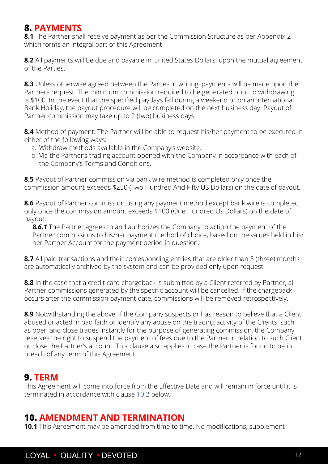## <span id="page-11-0"></span>**8. PAYMENTS**

**8.1** The Partner shall receive payment as per the Commission Structure as per Appendix 2 which forms an integral part of this Agreement.

**8.2** All payments will be due and payable in United States Dollars, upon the mutual agreement of the Parties.

**8.3** Unless otherwise agreed between the Parties in writing, payments will be made upon the Partners request. The minimum commission required to be generated prior to withdrawing is \$100. In the event that the specified paydays fall during a weekend or on an International Bank Holiday, the payout procedure will be completed on the next business day. Payout of Partner commission may take up to 2 (two) business days.

**8.4** Method of payment: The Partner will be able to request his/her payment to be executed in either of the following ways:

- a. Withdraw methods available in the Company's website.
- b. Via the Partner's trading account opened with the Company in accordance with each of the Company's Terms and Conditions.

**8.5** Payout of Partner commission via bank wire method is completed only once the commission amount exceeds \$250 (Two Hundred And Fifty US Dollars) on the date of payout.

**8.6** Payout of Partner commission using any payment method except bank wire is completed only once the commission amount exceeds \$100 (One Hundred Us Dollars) on the date of payout.

*8.6.1* The Partner agrees to and authorizes the Company to action the payment of the Partner commissions to his/her payment method of choice, based on the values held in his/ her Partner Account for the payment period in question.

**8.7** All paid transactions and their corresponding entries that are older than 3 (three) months are automatically archived by the system and can be provided only upon request.

8.8 In the case that a credit card chargeback is submitted by a Client referred by Partner, all Partner commissions generated by the specific account will be cancelled. If the chargeback occurs after the commission payment date, commissions will be removed retrospectively.

**8.9** Notwithstanding the above, if the Company suspects or has reason to believe that a Client abused or acted in bad faith or identify any abuse on the trading activity of the Clients, such as open and close trades instantly for the purpose of generating commission, the Company reserves the right to suspend the payment of fees due to the Partner in relation to such Client or close the Partner's account. This clause also applies in case the Partner is found to be in breach of any term of this Agreement.

## **9. TERM**

This Agreement will come into force from the Effective Date and will remain in force until it is terminated in accordance with clause 10.2 below.

## **10. AMENDMENT AND TERMINATION**

**10.1** This Agreement may be amended from time to time. No modifications, supplement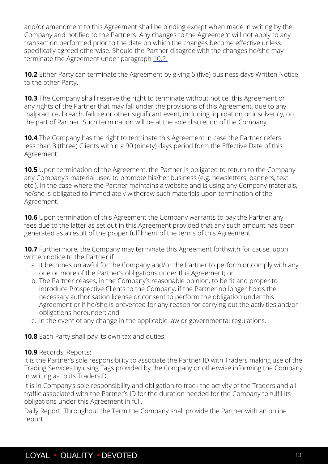<span id="page-12-0"></span>and/or amendment to this Agreement shall be binding except when made in writing by the Company and notified to the Partners. Any changes to the Agreement will not apply to any transaction performed prior to the date on which the changes become effective unless specifically agreed otherwise. Should the Partner disagree with the changes he/she may terminate the Agreement under paragraph 10.2.

**10.2** Either Party can terminate the Agreement by giving 5 (five) business days Written Notice to the other Party.

**10.3** The Company shall reserve the right to terminate without notice, this Agreement or any rights of the Partner that may fall under the provisions of this Agreement, due to any malpractice, breach, failure or other significant event, including liquidation or insolvency, on the part of Partner. Such termination will be at the sole discretion of the Company.

**10.4** The Company has the right to terminate this Agreement in case the Partner refers less than 3 (three) Clients within a 90 (ninety) days period form the Effective Date of this Agreement.

**10.5** Upon termination of the Agreement, the Partner is obligated to return to the Company any Company's material used to promote his/her business (e.g. newsletters, banners, text, etc.). In the case where the Partner maintains a website and is using any Company materials, he/she is obligated to immediately withdraw such materials upon termination of the Agreement.

**10.6** Upon termination of this Agreement the Company warrants to pay the Partner any fees due to the latter as set out in this Agreement provided that any such amount has been generated as a result of the proper fulfilment of the terms of this Agreement.

**10.7** Furthermore, the Company may terminate this Agreement forthwith for cause, upon written notice to the Partner if:

- a. It becomes unlawful for the Company and/or the Partner to perform or comply with any one or more of the Partner's obligations under this Agreement; or
- b. The Partner ceases, in the Company's reasonable opinion, to be fit and proper to introduce Prospective Clients to the Company, if the Partner no longer holds the necessary authorisation license or consent to perform the obligation under this Agreement or if he/she is prevented for any reason for carrying out the activities and/or obligations hereunder; and
- c. In the event of any change in the applicable law or governmental regulations.

**10.8** Each Party shall pay its own tax and duties.

#### **10.9** Records, Reports:

It is the Partner's sole responsibility to associate the Partner ID with Traders making use of the Trading Services by using Tags provided by the Company or otherwise informing the Company in writing as to its TradersID.

It is in Company's sole responsibility and obligation to track the activity of the Traders and all traffic associated with the Partner's ID for the duration needed for the Company to fulfil its obligations under this Agreement in full.

Daily Report. Throughout the Term the Company shall provide the Partner with an online report.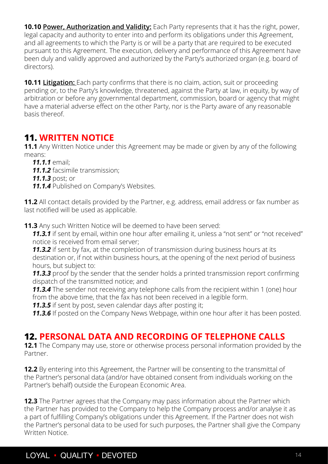<span id="page-13-0"></span>**10.10 Power, Authorization and Validity:** Each Party represents that it has the right, power, legal capacity and authority to enter into and perform its obligations under this Agreement, and all agreements to which the Party is or will be a party that are required to be executed pursuant to this Agreement. The execution, delivery and performance of this Agreement have been duly and validly approved and authorized by the Party's authorized organ (e.g. board of directors).

**10.11 Litigation:** Each party confirms that there is no claim, action, suit or proceeding pending or, to the Party's knowledge, threatened, against the Party at law, in equity, by way of arbitration or before any governmental department, commission, board or agency that might have a material adverse effect on the other Party, nor is the Party aware of any reasonable basis thereof.

## **11. WRITTEN NOTICE**

**11.1** Any Written Notice under this Agreement may be made or given by any of the following means:

- *11.1.1* email;
- *11.1.2* facsimile transmission;
- *11.1.3* post; or
- *11.1.4* Published on Company's Websites.

**11.2** All contact details provided by the Partner, e.g. address, email address or fax number as last notified will be used as applicable.

**11.3** Any such Written Notice will be deemed to have been served:

*11.3.1* if sent by email, within one hour after emailing it, unless a "not sent" or "not received" notice is received from email server;

**11.3.2** if sent by fax, at the completion of transmission during business hours at its destination or, if not within business hours, at the opening of the next period of business hours, but subject to:

**11.3.3** proof by the sender that the sender holds a printed transmission report confirming dispatch of the transmitted notice; and

**11.3.4** The sender not receiving any telephone calls from the recipient within 1 (one) hour from the above time, that the fax has not been received in a legible form.

*11.3.5* if sent by post, seven calendar days after posting it;

**11.3.6** If posted on the Company News Webpage, within one hour after it has been posted.

## **12. PERSONAL DATA AND RECORDING OF TELEPHONE CALLS**

**12.1** The Company may use, store or otherwise process personal information provided by the Partner.

**12.2** By entering into this Agreement, the Partner will be consenting to the transmittal of the Partner's personal data (and/or have obtained consent from individuals working on the Partner's behalf) outside the European Economic Area.

**12.3** The Partner agrees that the Company may pass information about the Partner which the Partner has provided to the Company to help the Company process and/or analyse it as a part of fulfilling Company's obligations under this Agreement. If the Partner does not wish the Partner's personal data to be used for such purposes, the Partner shall give the Company Written Notice.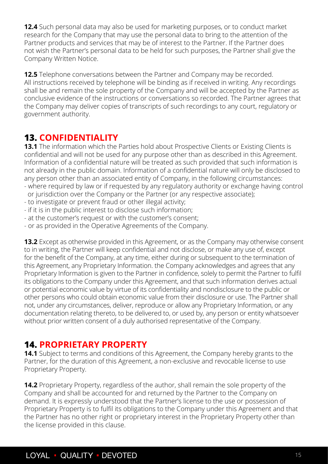<span id="page-14-0"></span>**12.4** Such personal data may also be used for marketing purposes, or to conduct market research for the Company that may use the personal data to bring to the attention of the Partner products and services that may be of interest to the Partner. If the Partner does not wish the Partner's personal data to be held for such purposes, the Partner shall give the Company Written Notice.

**12.5** Telephone conversations between the Partner and Company may be recorded. All instructions received by telephone will be binding as if received in writing. Any recordings shall be and remain the sole property of the Company and will be accepted by the Partner as conclusive evidence of the instructions or conversations so recorded. The Partner agrees that the Company may deliver copies of transcripts of such recordings to any court, regulatory or government authority.

## **13. CONFIDENTIALITY**

**13.1** The information which the Parties hold about Prospective Clients or Existing Clients is confidential and will not be used for any purpose other than as described in this Agreement. Information of a confidential nature will be treated as such provided that such information is not already in the public domain. Information of a confidential nature will only be disclosed to any person other than an associated entity of Company, in the following circumstances:

- where required by law or if requested by any regulatory authority or exchange having control or jurisdiction over the Company or the Partner (or any respective associate);
- to investigate or prevent fraud or other illegal activity;
- if it is in the public interest to disclose such information;
- at the customer's request or with the customer's consent;
- or as provided in the Operative Agreements of the Company.

**13.2** Except as otherwise provided in this Agreement, or as the Company may otherwise consent to in writing, the Partner will keep confidential and not disclose, or make any use of, except for the benefit of the Company, at any time, either during or subsequent to the termination of this Agreement, any Proprietary Information. the Company acknowledges and agrees that any Proprietary Information is given to the Partner in confidence, solely to permit the Partner to fulfil its obligations to the Company under this Agreement, and that such information derives actual or potential economic value by virtue of its confidentiality and nondisclosure to the public or other persons who could obtain economic value from their disclosure or use. The Partner shall not, under any circumstances, deliver, reproduce or allow any Proprietary Information, or any documentation relating thereto, to be delivered to, or used by, any person or entity whatsoever without prior written consent of a duly authorised representative of the Company.

## **14. PROPRIETARY PROPERTY**

**14.1** Subject to terms and conditions of this Agreement, the Company hereby grants to the Partner, for the duration of this Agreement, a non-exclusive and revocable license to use Proprietary Property.

**14.2** Proprietary Property, regardless of the author, shall remain the sole property of the Company and shall be accounted for and returned by the Partner to the Company on demand. It is expressly understood that the Partner's license to the use or possession of Proprietary Property is to fulfil its obligations to the Company under this Agreement and that the Partner has no other right or proprietary interest in the Proprietary Property other than the license provided in this clause.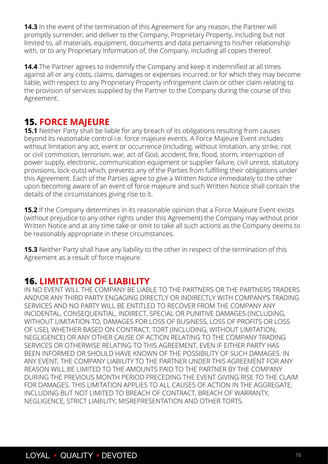<span id="page-15-0"></span>**14.3** In the event of the termination of this Agreement for any reason, the Partner will promptly surrender, and deliver to the Company, Proprietary Property, including but not limited to, all materials, equipment, documents and data pertaining to his/her relationship with, or to any Proprietary Information of, the Company, including all copies thereof.

**14.4** The Partner agrees to indemnify the Company and keep it indemnified at all times against all or any costs, claims, damages or expenses incurred, or for which they may become liable, with respect to any Proprietary Property infringement claim or other claim relating to the provision of services supplied by the Partner to the Company during the course of this Agreement.

## **15. FORCE MAJEURE**

**15.1** Neither Party shall be liable for any breach of its obligations resulting from causes beyond its reasonable control i.e. force majeure events. A Force Majeure Event includes without limitation any act, event or occurrence (including, without limitation, any strike, riot or civil commotion, terrorism, war, act of God, accident, fire, flood, storm, interruption of power supply, electronic, communication equipment or supplier failure, civil unrest, statutory provisions, lock-outs) which, prevents any of the Parties from fulfilling their obligations under this Agreement. Each of the Parties agree to give a Written Notice immediately to the other upon becoming aware of an event of force majeure and such Written Notice shall contain the details of the circumstances giving rise to it.

**15.2** If the Company determines in its reasonable opinion that a Force Majeure Event exists (without prejudice to any other rights under this Agreement) the Company may without prior Written Notice and at any time take or omit to take all such actions as the Company deems to be reasonably appropriate in these circumstances.

**15.3** Neither Party shall have any liability to the other in respect of the termination of this Agreement as a result of force majeure.

## **16. LIMITATION OF LIABILITY**

IN NO EVENT WILL THE COMPANY BE LIABLE TO THE PARTNERS OR THE PARTNERS TRADERS AND\OR ANY THIRD PARTY ENGAGING DIRECTLY OR INDIRECTLY WITH COMPANY'S TRADING SERVICES AND NO PARTY WILL BE ENTITLED TO RECOVER FROM THE COMPANY ANY INCIDENTAL, CONSEQUENTIAL, INDIRECT, SPECIAL OR PUNITIVE DAMAGES (INCLUDING, WITHOUT LIMITATION TO, DAMAGES FOR LOSS OF BUSINESS, LOSS OF PROFITS OR LOSS OF USE), WHETHER BASED ON CONTRACT, TORT (INCLUDING, WITHOUT LIMITATION, NEGLIGENCE) OR ANY OTHER CAUSE OF ACTION RELATING TO THE COMPANY TRADING SERVICES OR OTHERWISE RELATING TO THIS AGREEMENT, EVEN IF EITHER PARTY HAS BEEN INFORMED OR SHOULD HAVE KNOWN OF THE POSSIBILITY OF SUCH DAMAGES. IN ANY EVENT, THE COMPANY LIABILITY TO THE PARTNER UNDER THIS AGREEMENT FOR ANY REASON WILL BE LIMITED TO THE AMOUNTS PAID TO THE PARTNER BY THE COMPANY DURING THE PREVIOUS MONTH PERIOD PRECEDING THE EVENT GIVING RISE TO THE CLAIM FOR DAMAGES. THIS LIMITATION APPLIES TO ALL CAUSES OF ACTION IN THE AGGREGATE, INCLUDING BUT NOT LIMITED TO BREACH OF CONTRACT, BREACH OF WARRANTY, NEGLIGENCE, STRICT LIABILITY, MISREPRESENTATION AND OTHER TORTS.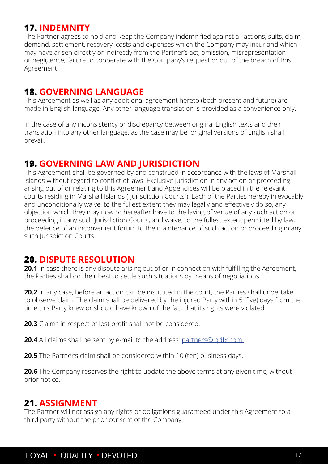## <span id="page-16-0"></span>**17. INDEMNITY**

The Partner agrees to hold and keep the Company indemnified against all actions, suits, claim, demand, settlement, recovery, costs and expenses which the Company may incur and which may have arisen directly or indirectly from the Partner's act, omission, misrepresentation or negligence, failure to cooperate with the Company's request or out of the breach of this Agreement.

## **18. GOVERNING LANGUAGE**

This Agreement as well as any additional agreement hereto (both present and future) are made in English language. Any other language translation is provided as a convenience only.

In the case of any inconsistency or discrepancy between original English texts and their translation into any other language, as the case may be, original versions of English shall prevail.

### **19. GOVERNING LAW AND JURISDICTION**

This Agreement shall be governed by and construed in accordance with the laws of Marshall Islands without regard to conflict of laws. Exclusive jurisdiction in any action or proceeding arising out of or relating to this Agreement and Appendices will be placed in the relevant courts residing in Marshall Islands ("Jurisdiction Courts"). Each of the Parties hereby irrevocably and unconditionally waive, to the fullest extent they may legally and effectively do so, any objection which they may now or hereafter have to the laying of venue of any such action or proceeding in any such Jurisdiction Courts, and waive, to the fullest extent permitted by law, the defence of an inconvenient forum to the maintenance of such action or proceeding in any such Jurisdiction Courts.

## **20. DISPUTE RESOLUTION**

**20.1** In case there is any dispute arising out of or in connection with fulfilling the Agreement, the Parties shall do their best to settle such situations by means of negotiations.

**20.2** In any case, before an action can be instituted in the court, the Parties shall undertake to observe claim. The claim shall be delivered by the injured Party within 5 (five) days from the time this Party knew or should have known of the fact that its rights were violated.

**20.3** Claims in respect of lost profit shall not be considered.

**20.4** All claims shall be sent by e-mail to the address: partners@lqdfx.com.

**20.5** The Partner's claim shall be considered within 10 (ten) business days.

**20.6** The Company reserves the right to update the above terms at any given time, without prior notice.

## **21. ASSIGNMENT**

The Partner will not assign any rights or obligations guaranteed under this Agreement to a third party without the prior consent of the Company.